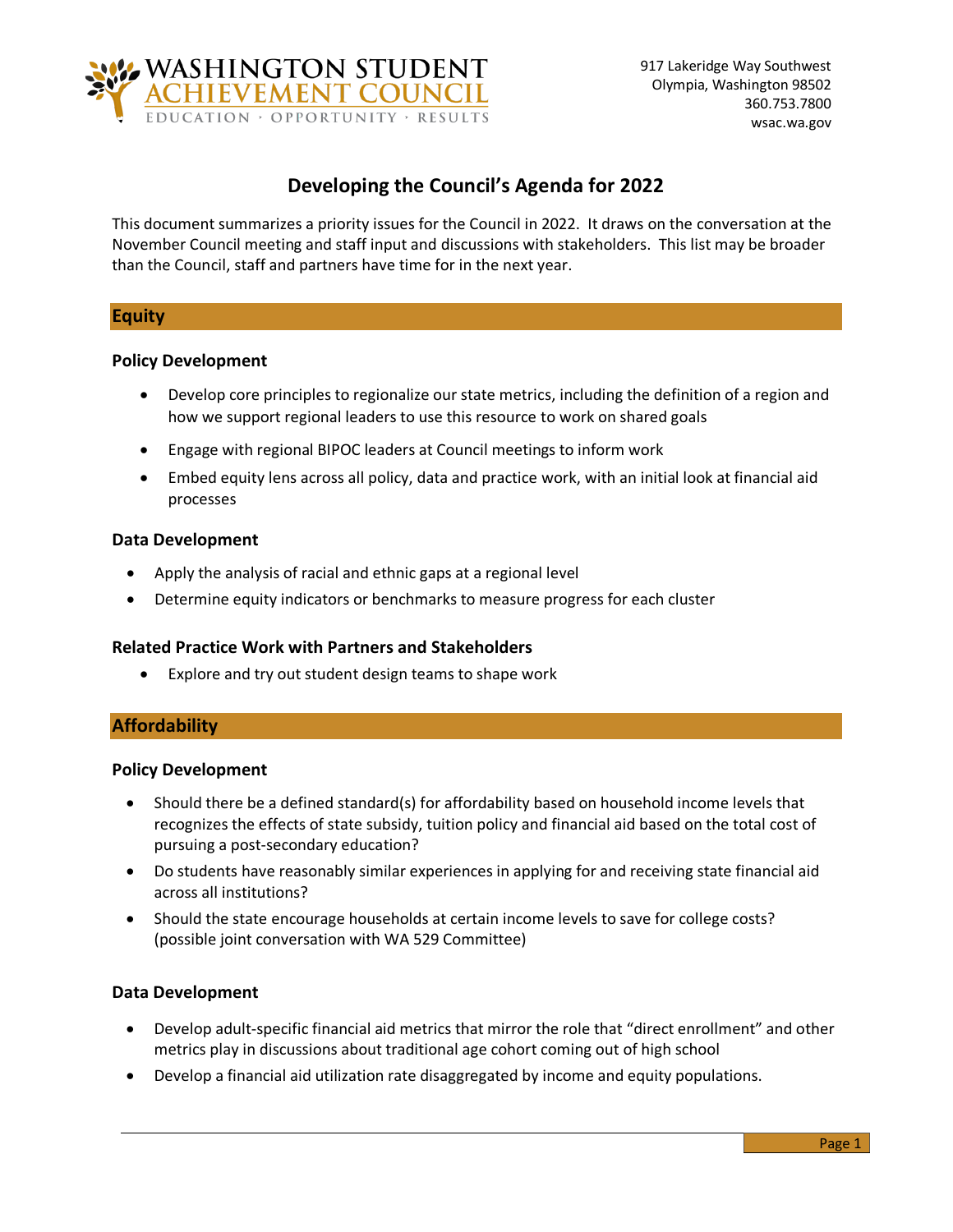

# **Developing the Council's Agenda for 2022**

This document summarizes a priority issues for the Council in 2022. It draws on the conversation at the November Council meeting and staff input and discussions with stakeholders. This list may be broader than the Council, staff and partners have time for in the next year.

# **Equity**

# **Policy Development**

- Develop core principles to regionalize our state metrics, including the definition of a region and how we support regional leaders to use this resource to work on shared goals
- Engage with regional BIPOC leaders at Council meetings to inform work
- Embed equity lens across all policy, data and practice work, with an initial look at financial aid processes

# **Data Development**

- Apply the analysis of racial and ethnic gaps at a regional level
- Determine equity indicators or benchmarks to measure progress for each cluster

# **Related Practice Work with Partners and Stakeholders**

• Explore and try out student design teams to shape work

# **Affordability**

### **Policy Development**

- Should there be a defined standard(s) for affordability based on household income levels that recognizes the effects of state subsidy, tuition policy and financial aid based on the total cost of pursuing a post-secondary education?
- Do students have reasonably similar experiences in applying for and receiving state financial aid across all institutions?
- Should the state encourage households at certain income levels to save for college costs? (possible joint conversation with WA 529 Committee)

# **Data Development**

- Develop adult-specific financial aid metrics that mirror the role that "direct enrollment" and other metrics play in discussions about traditional age cohort coming out of high school
- Develop a financial aid utilization rate disaggregated by income and equity populations.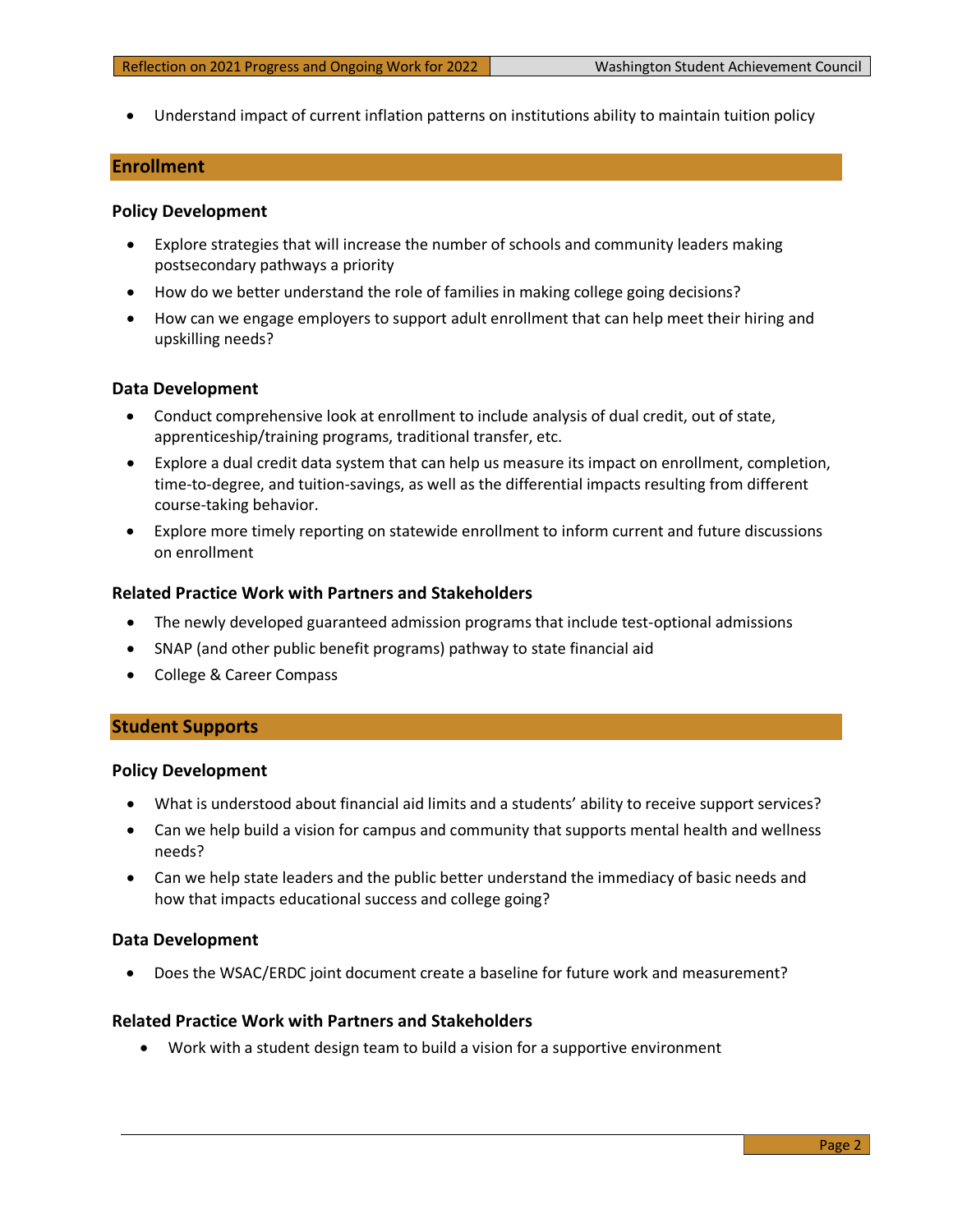• Understand impact of current inflation patterns on institutions ability to maintain tuition policy

## **Enrollment**

#### **Policy Development**

- Explore strategies that will increase the number of schools and community leaders making postsecondary pathways a priority
- How do we better understand the role of families in making college going decisions?
- How can we engage employers to support adult enrollment that can help meet their hiring and upskilling needs?

#### **Data Development**

- Conduct comprehensive look at enrollment to include analysis of dual credit, out of state, apprenticeship/training programs, traditional transfer, etc.
- Explore a dual credit data system that can help us measure its impact on enrollment, completion, time-to-degree, and tuition-savings, as well as the differential impacts resulting from different course-taking behavior.
- Explore more timely reporting on statewide enrollment to inform current and future discussions on enrollment

### **Related Practice Work with Partners and Stakeholders**

- The newly developed guaranteed admission programs that include test-optional admissions
- SNAP (and other public benefit programs) pathway to state financial aid
- College & Career Compass

### **Student Supports**

#### **Policy Development**

- What is understood about financial aid limits and a students' ability to receive support services?
- Can we help build a vision for campus and community that supports mental health and wellness needs?
- Can we help state leaders and the public better understand the immediacy of basic needs and how that impacts educational success and college going?

#### **Data Development**

• Does the WSAC/ERDC joint document create a baseline for future work and measurement?

# **Related Practice Work with Partners and Stakeholders**

• Work with a student design team to build a vision for a supportive environment